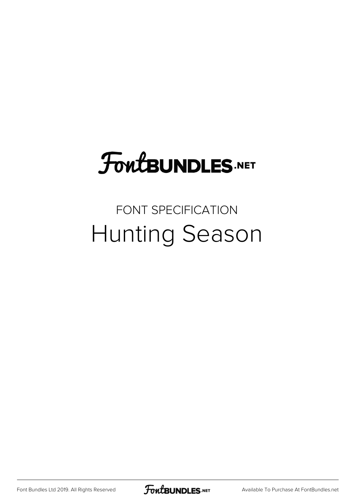# **FoutBUNDLES.NET**

### FONT SPECIFICATION Hunting Season

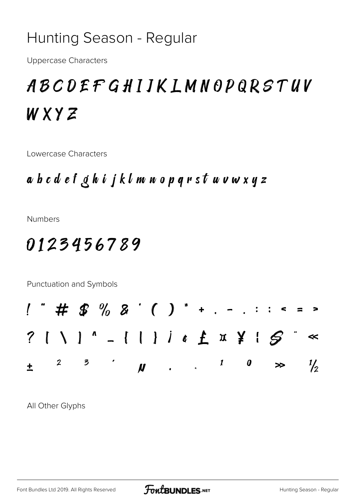### Hunting Season - Regular

**Uppercase Characters** 

## ABCDEFGHIJKLMNOPQRSTUV WXYZ

Lowercase Characters

#### a b c d e f g h i j k l m n o p q r s t u v w x y z

**Numbers** 

### 0123456789

Punctuation and Symbols



All Other Glyphs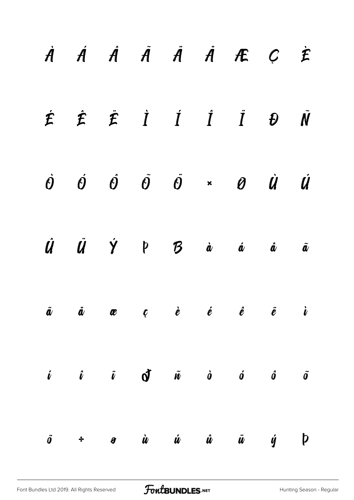|  |  |  | À Á Á Ã Ä Å Æ Ç È                                                                                                                                                                                                                                                    |                           |
|--|--|--|----------------------------------------------------------------------------------------------------------------------------------------------------------------------------------------------------------------------------------------------------------------------|---------------------------|
|  |  |  |                                                                                                                                                                                                                                                                      |                           |
|  |  |  | $\dot{\theta}$ $\dot{\theta}$ $\dot{\theta}$ $\ddot{\theta}$ $\dot{\theta}$ $\dot{\theta}$ $\dot{\theta}$ $\dot{\theta}$ $\dot{\theta}$ $\dot{\theta}$                                                                                                               |                           |
|  |  |  | $\hat{\mathcal{U}}\hspace{0.5cm} \hat{\mathcal{U}}\hspace{0.5cm} \hat{\mathcal{Y}}\hspace{0.5cm} \mathsf{P}\hspace{0.5cm} \mathcal{B}\hspace{0.5cm} \dot{\mathsf{a}}\hspace{0.5cm} \dot{\mathsf{a}}\hspace{0.5cm} \dot{\mathsf{a}}\hspace{0.5cm} \tilde{\mathsf{a}}$ |                           |
|  |  |  | ä å æ ç è é ê ë i                                                                                                                                                                                                                                                    |                           |
|  |  |  | $\hat{i}$ $\hat{i}$ $\hat{v}$ $\hat{v}$ $\hat{v}$ $\hat{w}$ $\hat{o}$ $\hat{o}$ $\hat{o}$ $\hat{o}$                                                                                                                                                                  |                           |
|  |  |  | $\ddot{o}$ $\div$ $\theta$ $\dot{u}$ $\dot{u}$ $\dot{u}$ $\ddot{u}$ $\ddot{y}$                                                                                                                                                                                       | $\boldsymbol{\mathsf{p}}$ |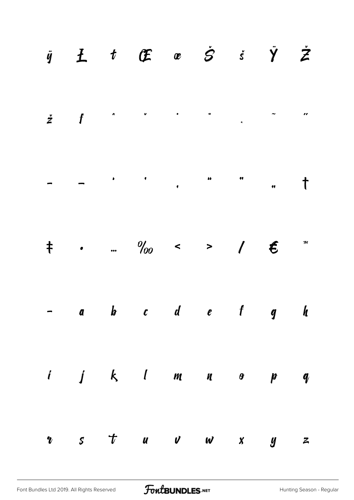|  | $\ddot{y}$ $\ddot{L}$ $\dot{\sigma}$ $\ddot{\sigma}$ $\ddot{\sigma}$ $\ddot{\sigma}$ $\ddot{\sigma}$ $\ddot{\sigma}$ $\ddot{z}$ |  |  |  |
|--|---------------------------------------------------------------------------------------------------------------------------------|--|--|--|
|  | $\ddot{z}$ $f$ $\ddot{z}$ $\ddot{z}$ $\ddot{z}$ $\ddot{z}$ $\ddot{z}$                                                           |  |  |  |
|  |                                                                                                                                 |  |  |  |
|  | $\ddagger$ $\frac{\partial}{\partial 0}$ < > / $\epsilon$ $\frac{\pi}{2}$                                                       |  |  |  |
|  | $-$ a $b$ c $d$ e $f$ $g$ $h$                                                                                                   |  |  |  |
|  | $i$ jkl muus p $q$                                                                                                              |  |  |  |
|  | r s t u v w x y z                                                                                                               |  |  |  |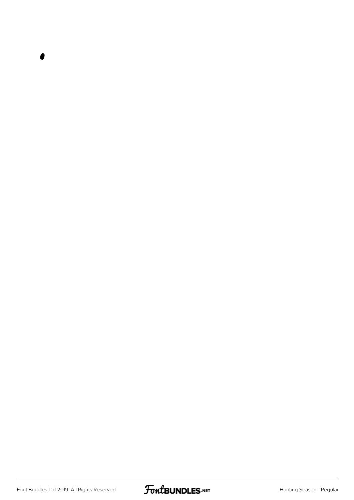$\bullet$ 

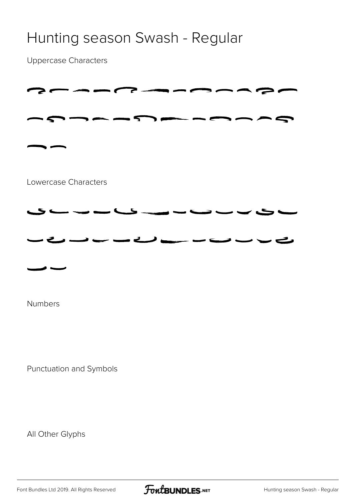#### Hunting season Swash - Regular

Uppercase Characters



All Other Glyphs